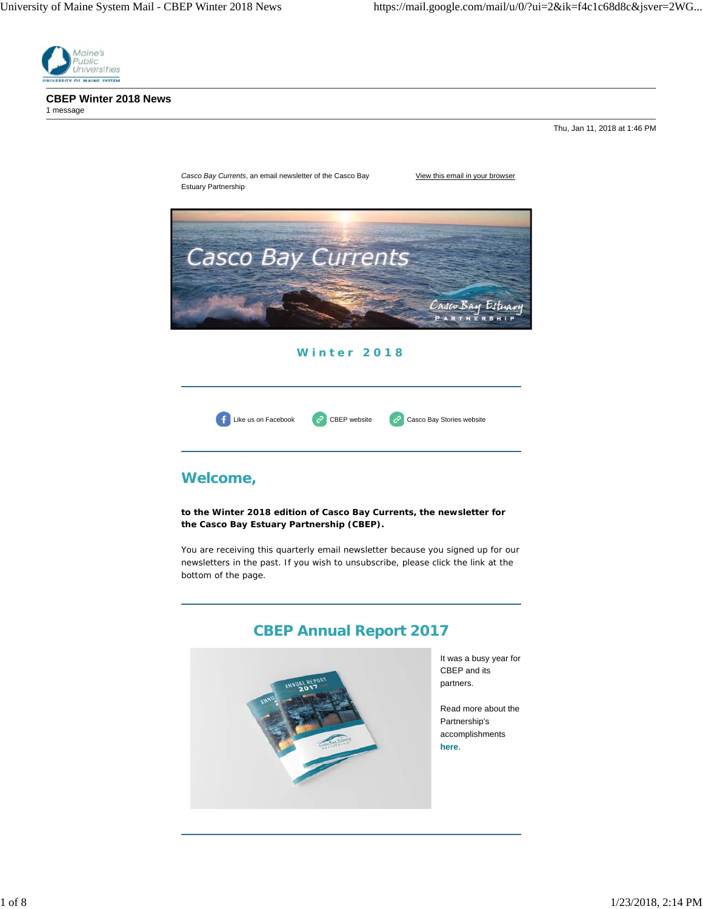

**CBEP Winter 2018 News** 1 message

Thu, Jan 11, 2018 at 1:46 PM

*Casco Bay Currents*, an email newsletter of the Casco Bay View this email in your browser Estuary Partnership Casco Bay Currents Casco Bay Estuary

**Winter 2018**



# **Welcome,**

**to the Winter 2018 edition of** *Casco Bay Currents***, the newsletter for the Casco Bay Estuary Partnership (CBEP).**

You are receiving this quarterly email newsletter because you signed up for our newsletters in the past. If you wish to unsubscribe, please click the link at the bottom of the page.

# **CBEP Annual Report 2017**



It was a busy year for CBEP and its partners.

Read more about the Partnership's accomplishments **here**.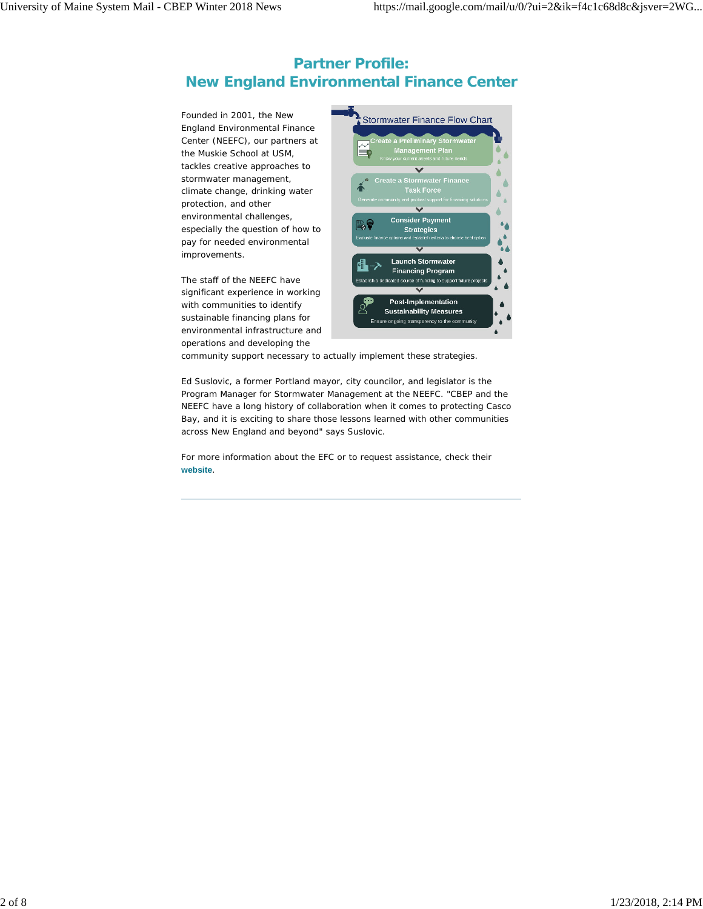# **Partner Profile: New England Environmental Finance Center**

Founded in 2001, the New England Environmental Finance Center (NEEFC), our partners at the Muskie School at USM, tackles creative approaches to stormwater management, climate change, drinking water protection, and other environmental challenges, especially the question of how to pay for needed environmental improvements.

The staff of the NEEFC have significant experience in working with communities to identify sustainable financing plans for environmental infrastructure and operations *and* developing the



community support necessary to actually implement these strategies.

Ed Suslovic, a former Portland mayor, city councilor, and legislator is the Program Manager for Stormwater Management at the NEEFC. "CBEP and the NEEFC have a long history of collaboration when it comes to protecting Casco Bay, and it is exciting to share those lessons learned with other communities across New England and beyond" says Suslovic.

For more information about the EFC or to request assistance, check their **website**.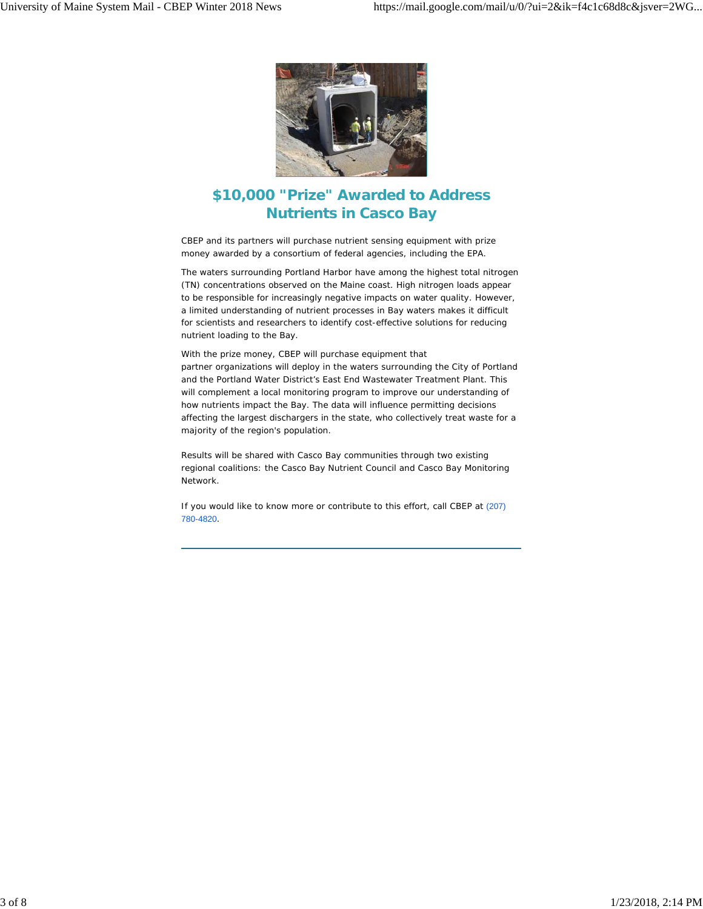

# **\$10,000 "Prize" Awarded to Address Nutrients in Casco Bay**

CBEP and its partners will purchase nutrient sensing equipment with prize money awarded by a consortium of federal agencies, including the EPA.

The waters surrounding Portland Harbor have among the highest total nitrogen (TN) concentrations observed on the Maine coast. High nitrogen loads appear to be responsible for increasingly negative impacts on water quality. However, a limited understanding of nutrient processes in Bay waters makes it difficult for scientists and researchers to identify cost-effective solutions for reducing nutrient loading to the Bay.

With the prize money, CBEP will purchase equipment that partner organizations will deploy in the waters surrounding the City of Portland and the Portland Water District's East End Wastewater Treatment Plant. This will complement a local monitoring program to improve our understanding of how nutrients impact the Bay. The data will influence permitting decisions affecting the largest dischargers in the state, who collectively treat waste for a majority of the region's population.

Results will be shared with Casco Bay communities through two existing regional coalitions: the Casco Bay Nutrient Council and Casco Bay Monitoring Network.

If you would like to know more or contribute to this effort, call CBEP at (207) 780-4820.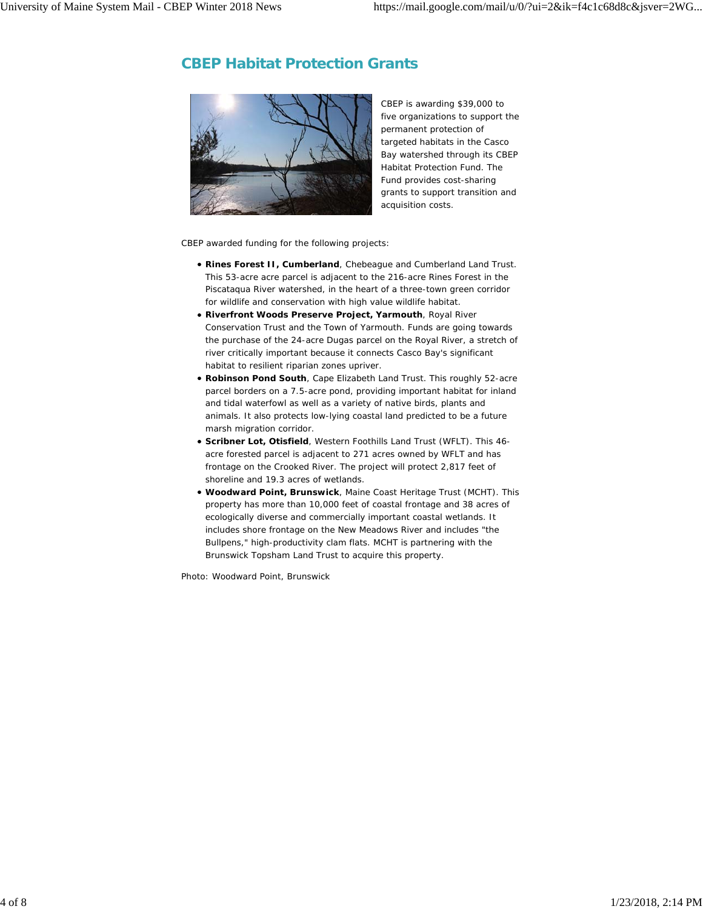### **CBEP Habitat Protection Grants**



CBEP is awarding \$39,000 to five organizations to support the permanent protection of targeted habitats in the Casco Bay watershed through its *CBEP Habitat Protection Fund*. The Fund provides cost-sharing grants to support transition and acquisition costs.

CBEP awarded funding for the following projects:

- **Rines Forest II, Cumberland**, Chebeague and Cumberland Land Trust. This 53-acre acre parcel is adjacent to the 216-acre Rines Forest in the Piscataqua River watershed, in the heart of a three-town green corridor for wildlife and conservation with high value wildlife habitat.
- **Riverfront Woods Preserve Project, Yarmouth**, Royal River Conservation Trust and the Town of Yarmouth. Funds are going towards the purchase of the 24-acre Dugas parcel on the Royal River, a stretch of river critically important because it connects Casco Bay's significant habitat to resilient riparian zones upriver.
- **Robinson Pond South**, Cape Elizabeth Land Trust. This roughly 52-acre parcel borders on a 7.5-acre pond, providing important habitat for inland and tidal waterfowl as well as a variety of native birds, plants and animals. It also protects low-lying coastal land predicted to be a future marsh migration corridor.
- **Scribner Lot, Otisfield**, Western Foothills Land Trust (WFLT). This 46 acre forested parcel is adjacent to 271 acres owned by WFLT and has frontage on the Crooked River. The project will protect 2,817 feet of shoreline and 19.3 acres of wetlands.
- **Woodward Point, Brunswick**, Maine Coast Heritage Trust (MCHT). This property has more than 10,000 feet of coastal frontage and 38 acres of ecologically diverse and commercially important coastal wetlands. It includes shore frontage on the New Meadows River and includes "the Bullpens," high-productivity clam flats. MCHT is partnering with the Brunswick Topsham Land Trust to acquire this property.

*Photo: Woodward Point, Brunswick*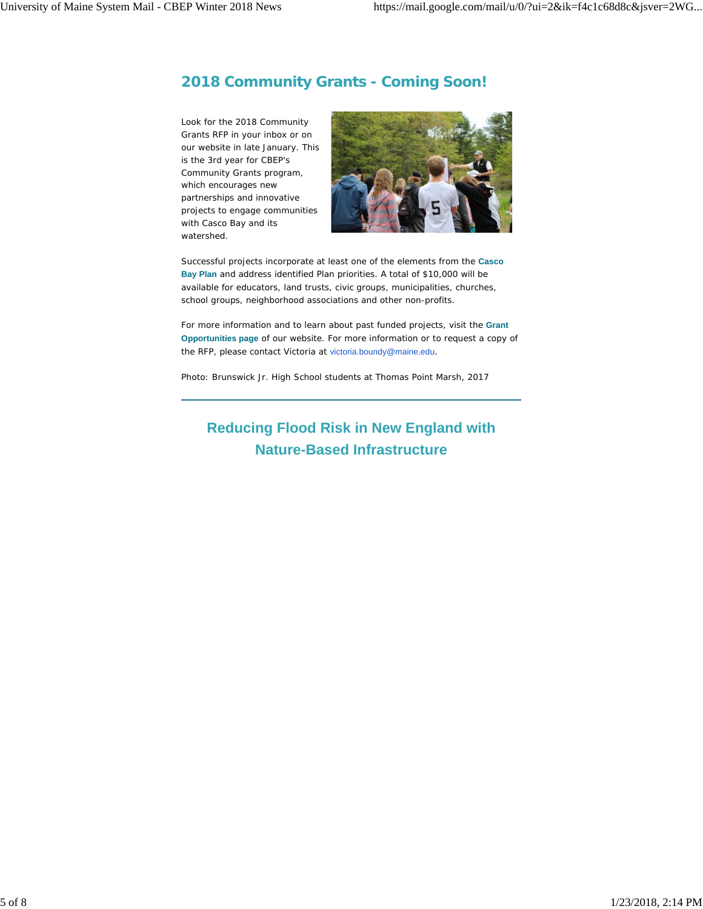### **2018 Community Grants - Coming Soon!**

Look for the 2018 Community Grants RFP in your inbox or on our website in late January. This is the 3rd year for CBEP's Community Grants program, which encourages new partnerships and innovative projects to engage communities with Casco Bay and its watershed.



Successful projects incorporate at least one of the elements from the **Casco Bay Plan** and address identified Plan priorities. A total of \$10,000 will be available for educators, land trusts, civic groups, municipalities, churches, school groups, neighborhood associations and other non-profits.

For more information and to learn about past funded projects, visit the **Grant Opportunities page** of our website. For more information or to request a copy of the RFP, please contact Victoria at victoria.boundy@maine.edu.

*Photo: Brunswick Jr. High School students at Thomas Point Marsh, 2017*

# **Reducing Flood Risk in New England with Nature-Based Infrastructure**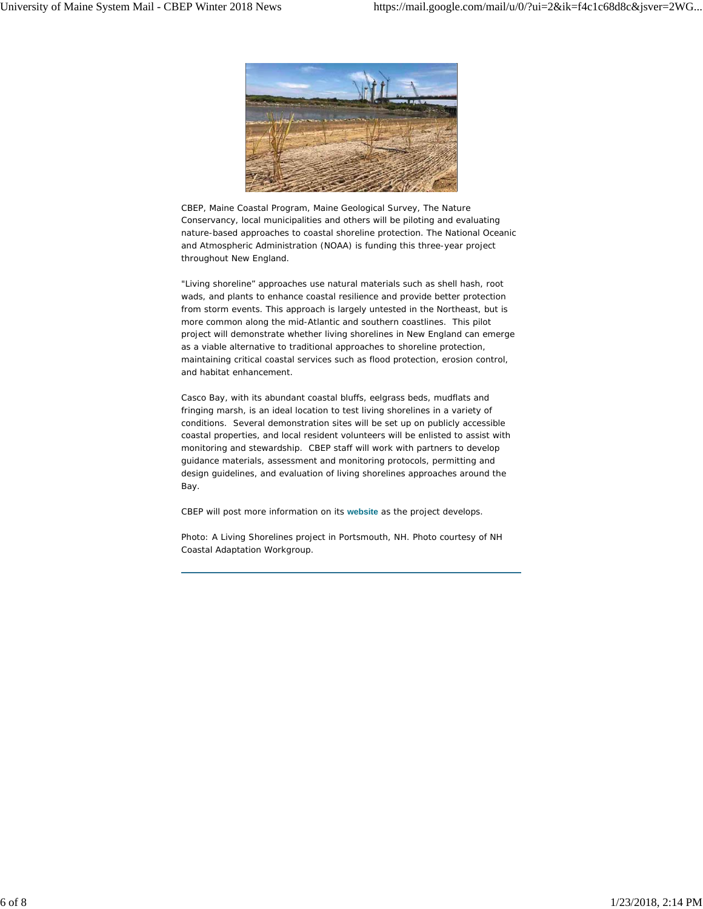

CBEP, Maine Coastal Program, Maine Geological Survey, The Nature Conservancy, local municipalities and others will be piloting and evaluating nature-based approaches to coastal shoreline protection. The National Oceanic and Atmospheric Administration (NOAA) is funding this three-year project throughout New England.

"Living shoreline" approaches use natural materials such as shell hash, root wads, and plants to enhance coastal resilience and provide better protection from storm events. This approach is largely untested in the Northeast, but is more common along the mid-Atlantic and southern coastlines. This pilot project will demonstrate whether living shorelines in New England can emerge as a viable alternative to traditional approaches to shoreline protection, maintaining critical coastal services such as flood protection, erosion control, and habitat enhancement.

Casco Bay, with its abundant coastal bluffs, eelgrass beds, mudflats and fringing marsh, is an ideal location to test living shorelines in a variety of conditions. Several demonstration sites will be set up on publicly accessible coastal properties, and local resident volunteers will be enlisted to assist with monitoring and stewardship. CBEP staff will work with partners to develop guidance materials, assessment and monitoring protocols, permitting and design guidelines, and evaluation of living shorelines approaches around the Bay.

CBEP will post more information on its **website** as the project develops.

*Photo: A Living Shorelines project in Portsmouth, NH. Photo courtesy of NH Coastal Adaptation Workgroup.*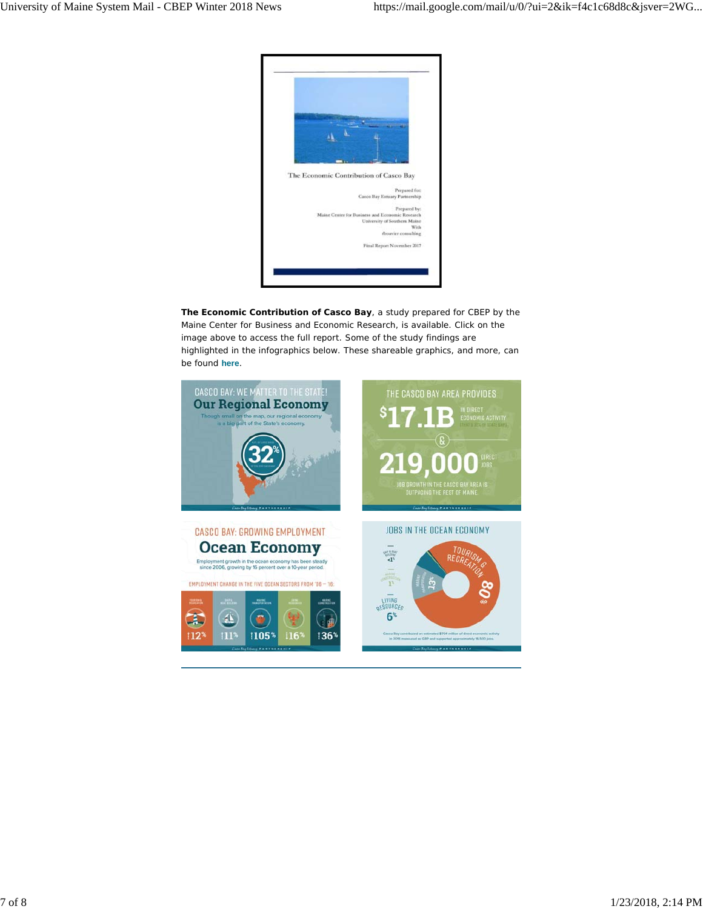

**The Economic Contribution of Casco Bay**, a study prepared for CBEP by the Maine Center for Business and Economic Research, is available. Click on the image above to access the full report. Some of the study findings are highlighted in the infographics below. These shareable graphics, and more, can be found **here**.